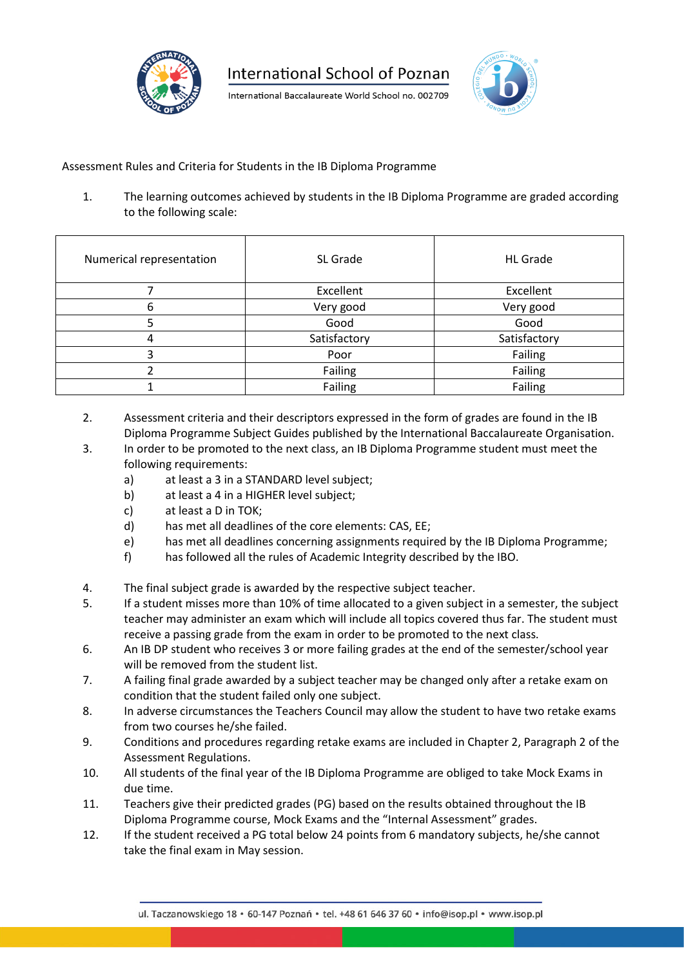

International Baccalaureate World School no. 002709



## Assessment Rules and Criteria for Students in the IB Diploma Programme

1. The learning outcomes achieved by students in the IB Diploma Programme are graded according to the following scale:

| Numerical representation | SL Grade     | <b>HL</b> Grade |
|--------------------------|--------------|-----------------|
|                          | Excellent    | Excellent       |
| 6                        | Very good    | Very good       |
| 5                        | Good         | Good            |
| 4                        | Satisfactory | Satisfactory    |
| 3                        | Poor         | Failing         |
|                          | Failing      | Failing         |
|                          | Failing      | Failing         |

- 2. Assessment criteria and their descriptors expressed in the form of grades are found in the IB Diploma Programme Subject Guides published by the International Baccalaureate Organisation.
- 3. In order to be promoted to the next class, an IB Diploma Programme student must meet the following requirements:
	- a) at least a 3 in a STANDARD level subject;
	- b) at least a 4 in a HIGHER level subject;
	- c) at least a D in TOK;
	- d) has met all deadlines of the core elements: CAS, EE;
	- e) has met all deadlines concerning assignments required by the IB Diploma Programme;
	- f) has followed all the rules of Academic Integrity described by the IBO.
- 4. The final subject grade is awarded by the respective subject teacher.
- 5. If a student misses more than 10% of time allocated to a given subject in a semester, the subject teacher may administer an exam which will include all topics covered thus far. The student must receive a passing grade from the exam in order to be promoted to the next class.
- 6. An IB DP student who receives 3 or more failing grades at the end of the semester/school year will be removed from the student list.
- 7. A failing final grade awarded by a subject teacher may be changed only after a retake exam on condition that the student failed only one subject.
- 8. In adverse circumstances the Teachers Council may allow the student to have two retake exams from two courses he/she failed.
- 9. Conditions and procedures regarding retake exams are included in Chapter 2, Paragraph 2 of the Assessment Regulations.
- 10. All students of the final year of the IB Diploma Programme are obliged to take Mock Exams in due time.
- 11. Teachers give their predicted grades (PG) based on the results obtained throughout the IB Diploma Programme course, Mock Exams and the "Internal Assessment" grades.
- 12. If the student received a PG total below 24 points from 6 mandatory subjects, he/she cannot take the final exam in May session.